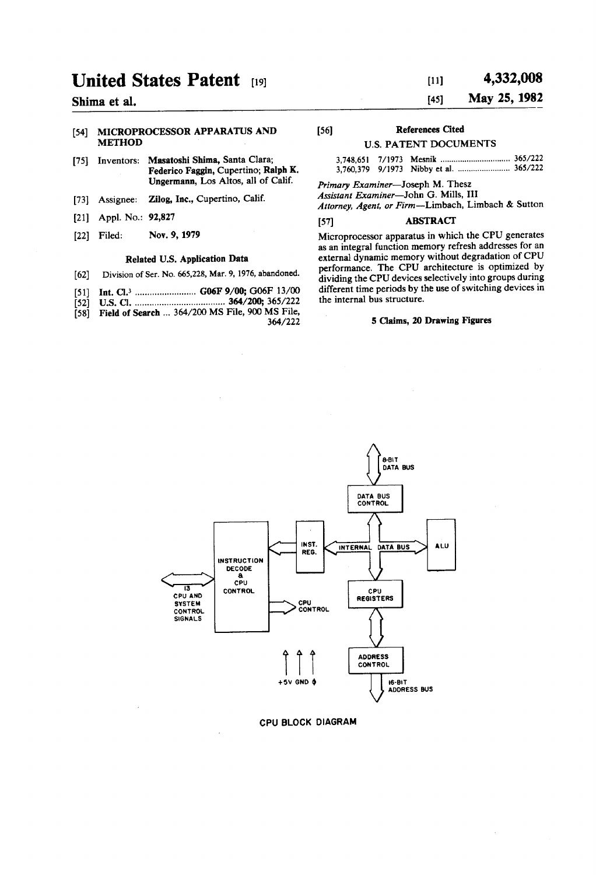# United States Patent [191]

#### Shima et al.

#### [54] MICROPROCESSOR APPARATUS AND METHOD

- [75] Inventors: Masatoshi Shims, Santa Clara; Federico Faggin, Cupertino; Ralph K. Ungermann, Los Altos, all of Calif.
- [73] Assignee: Zilog, Inc., Cupertino, Calif.
- [21] Appl. No.: 92,827
- [22] Filed: Nov. 9, 1979

#### Related US. Application Data

- [62] Division of Ser. No. 665,228, Mar. 9, 1976, abandoned.
- Int. Cl.3 ....................... .. G06F 9/00; G06F 13/00
- $\begin{bmatrix} 51 \\ 52 \end{bmatrix}$ [52] US. Cl. ................................... .. 364/200; 365/222
- [58] Field of Search  $...$  364/200 MS File, 900 MS File,
- 364/222

#### 4,332,008 [11]

#### May 25, 1982 [45]

## [56] References Cited

#### U.S. PATENT DOCUMENTS

3,748,65l 7/1973 Mesnik .............................. .. 365/222 3,760,379 9/1973 Nibby et al\_ ...................... .. 365/222

Primary Examiner—Joseph M. Thesz

Assistant Examiner—John G. Mills, III Attorney, Agent, or Firm—Limbach, Limbach & Sutton

#### [57] ABSTRACT

Microprocessor apparatus in which the CPU generates as an integral function memory refresh addresses for an external dynamic memory without degradation of CPU performance. The CPU architecture is optimized by dividing the CPU devices selectively into groups during different time periods by the use of switching devices in the internal bus structure.

#### 5 Claims, 20 Drawing Figures



CPU BLOCK DIAGRAM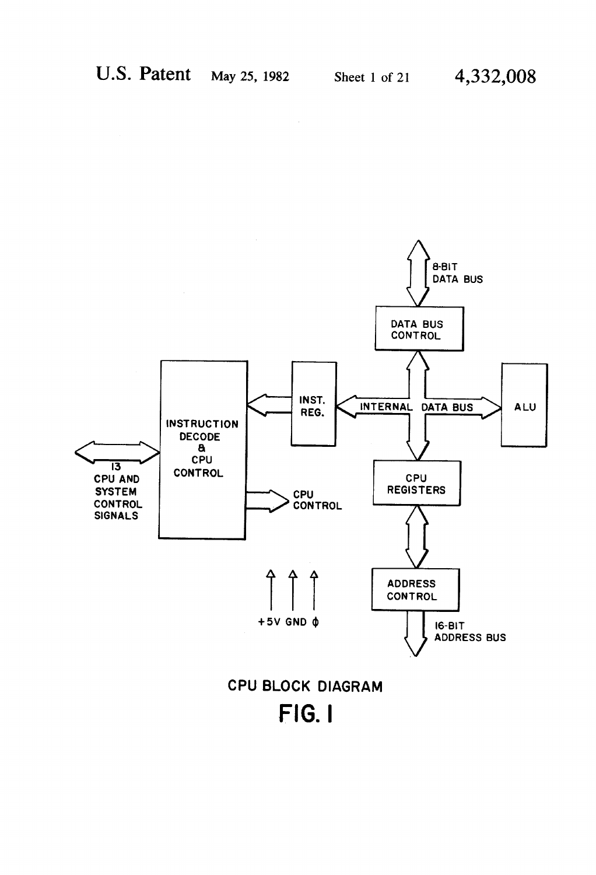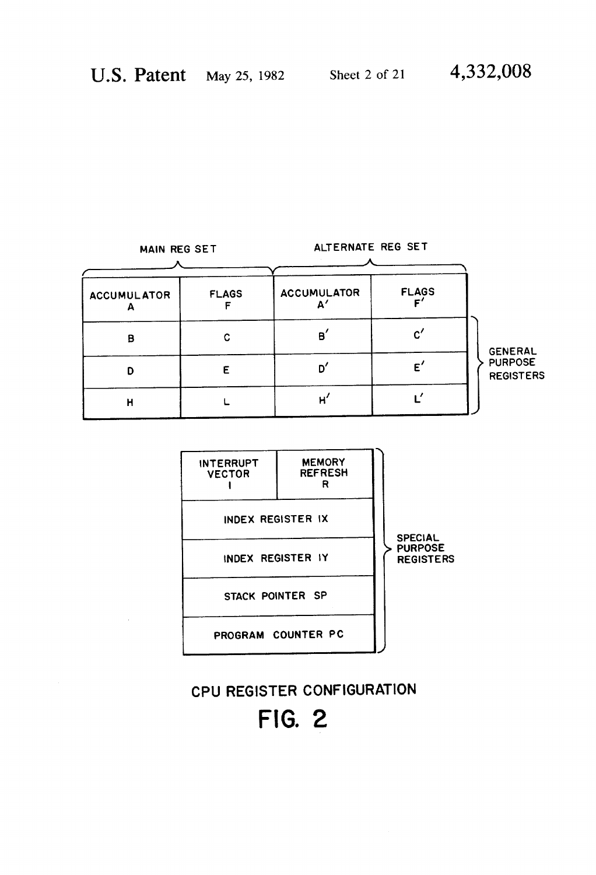| MAIN REG SET            |              | ALTERNATE REG SET  |              |                                    |
|-------------------------|--------------|--------------------|--------------|------------------------------------|
| <b>ACCUMULATOR</b><br>А | <b>FLAGS</b> | <b>ACCUMULATOR</b> | <b>FLAGS</b> |                                    |
| B                       | С            | B                  |              | <b>GENERAL</b>                     |
| D                       | Ε            |                    |              | <b>PURPOSE</b><br><b>REGISTERS</b> |
| н                       |              | М                  |              |                                    |



CPU REGISTER CONFIGURATION

FIG. 2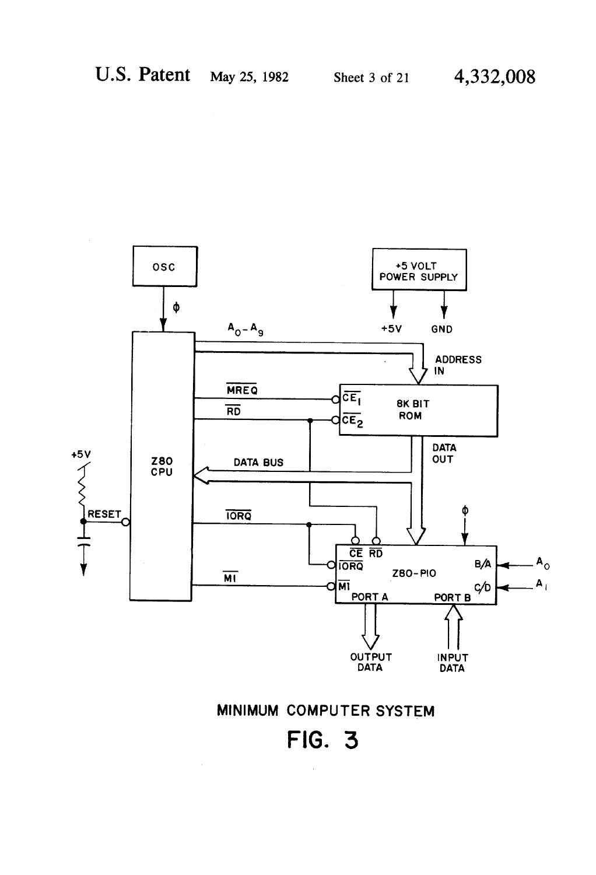

MINIMUM COMPUTER SYSTEM

**FIG. 3** 

 $\hat{r} = \hat{r}$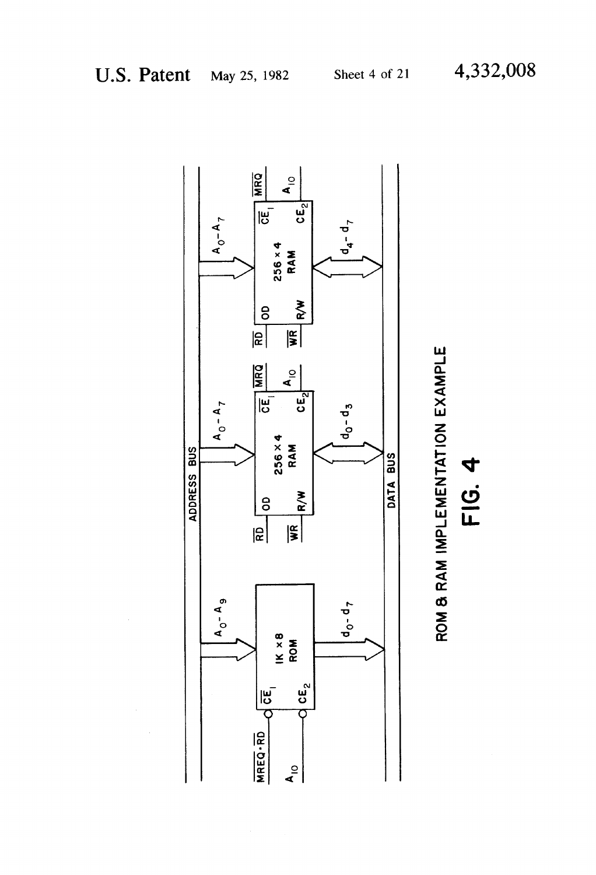

U.S. Patent May 25, 1982 Sheet 4 of 21 4,332,008



ROM & RAM IMPLEMENTATION EXAMPLE FIG. 4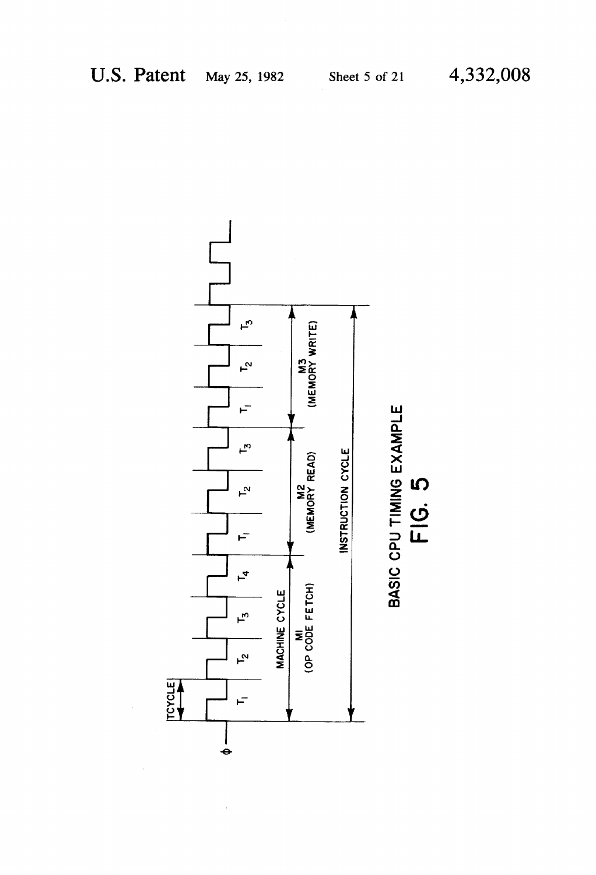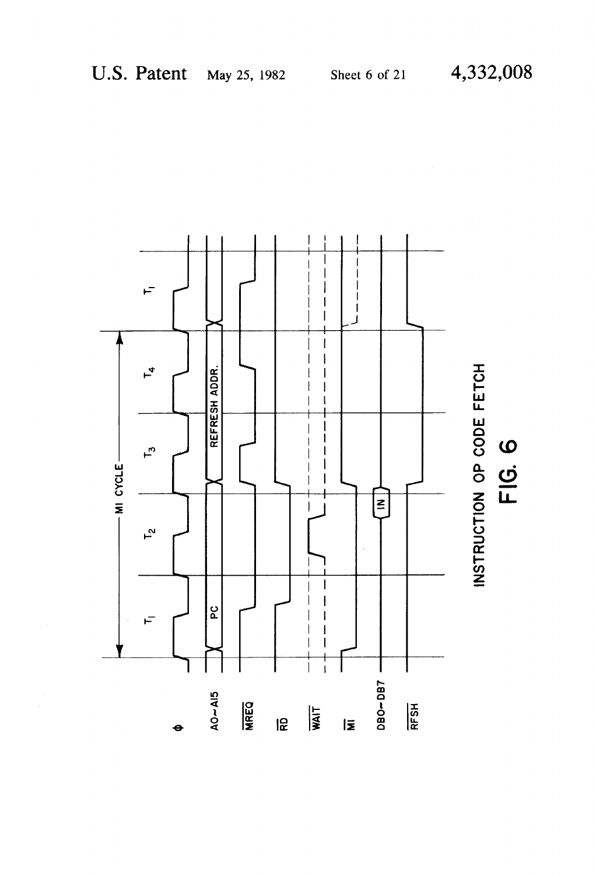

 $\mathbf{i}$ 

 $\mathsf{l}$ 

 $\overline{\phantom{a}}$ 

**WAIT** 

 $|\bar{\mathbf{z}}|$ 

 $\overline{\mathbf{g}}$ 

DBO-DB7

RFSH

 $\overline{c}$ 

 $AO - A15$ 

ĕ

MREQ

 $\bar{r}$ 

 $\frac{1}{2}$ 

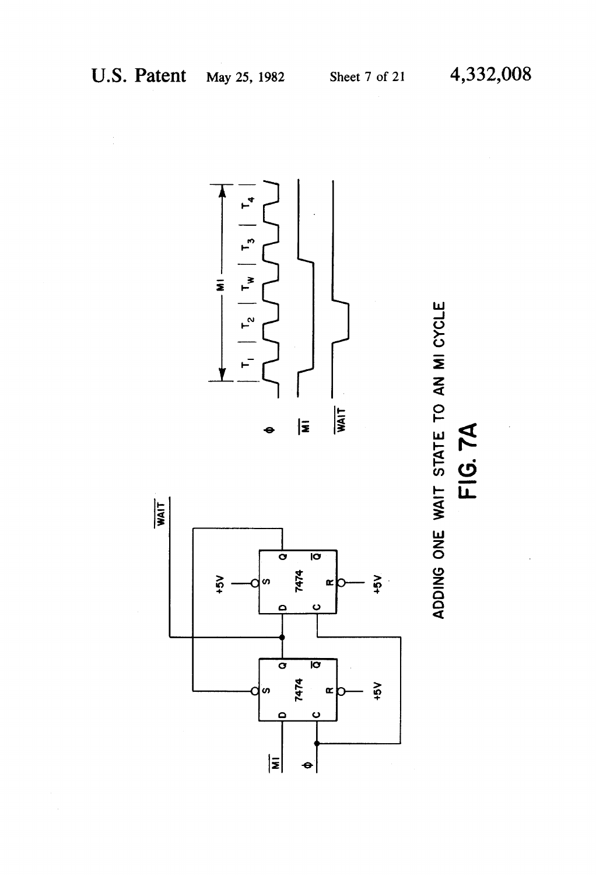**FIG. 7A** 

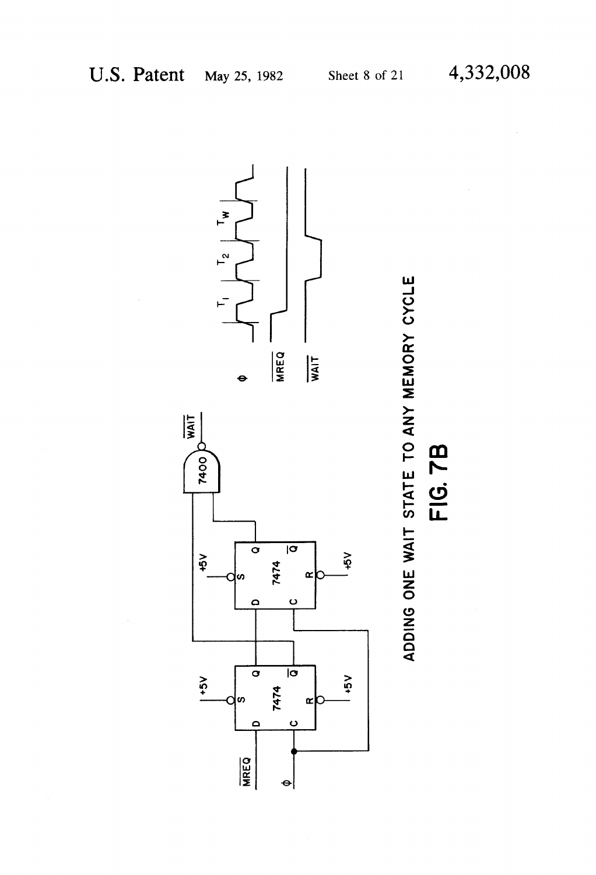

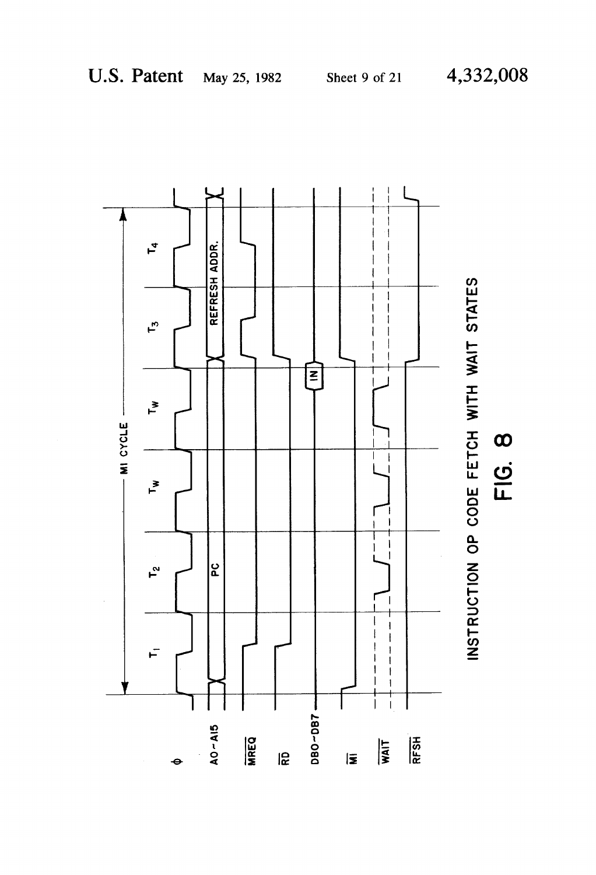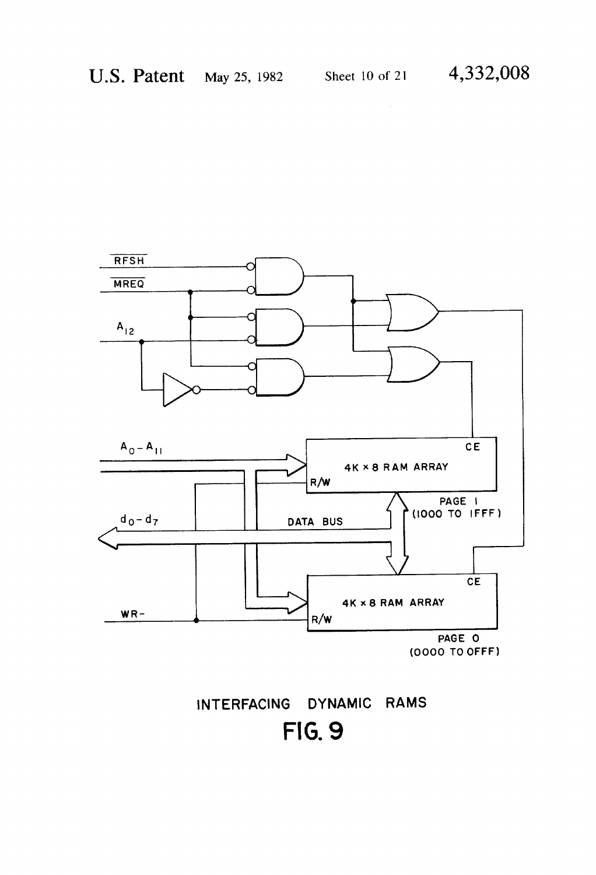

lNTERFACiNG DYNAMIC RAMS FIG. 9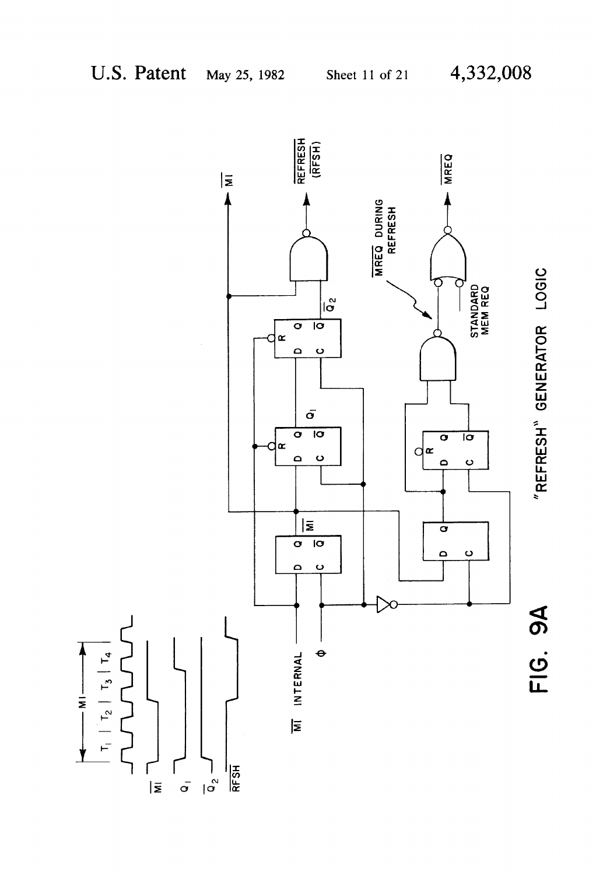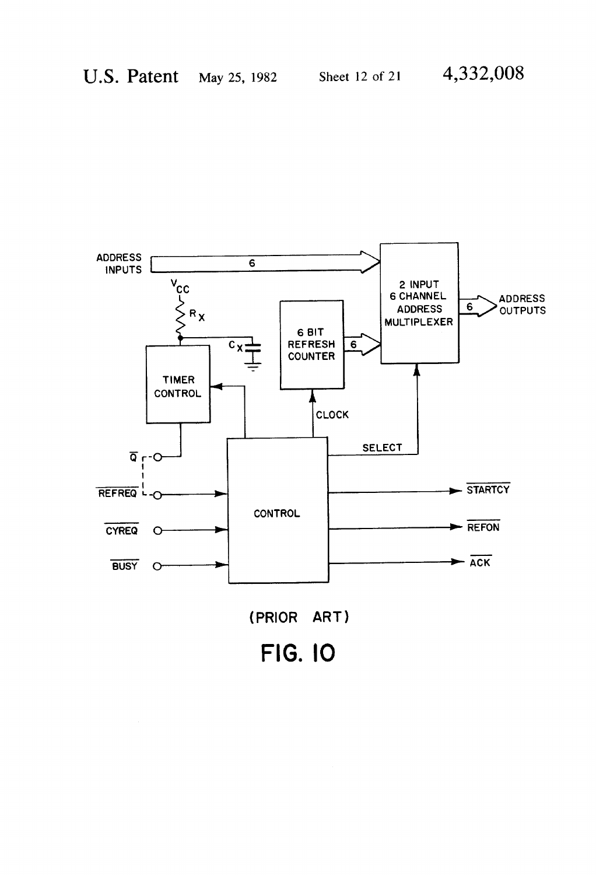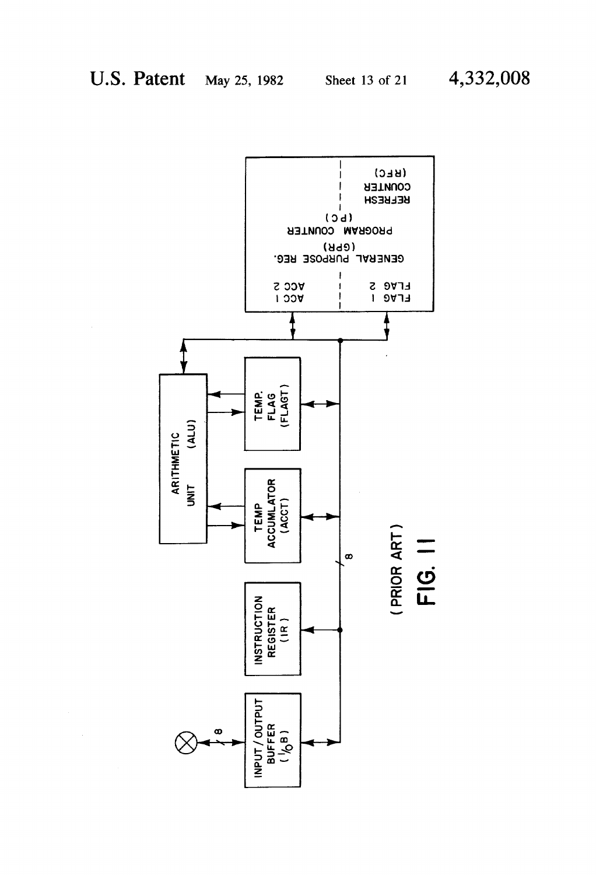$\hat{\boldsymbol{\beta}}$ 

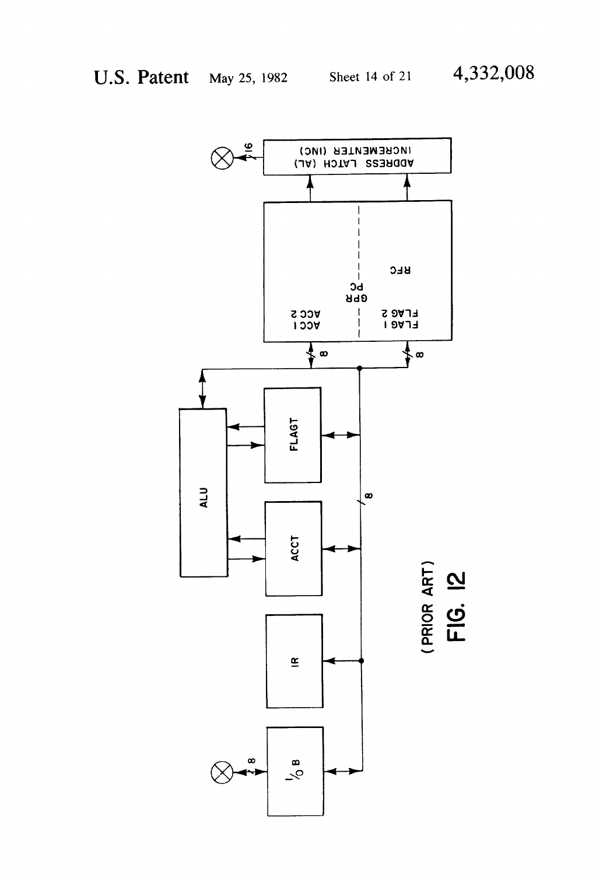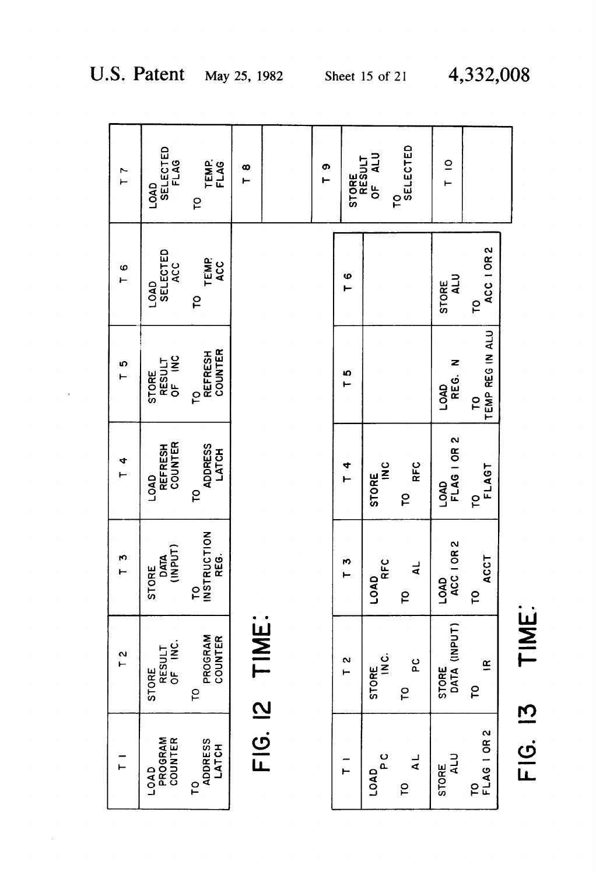| $\frac{1}{2}$  | SELECTED<br>FLAG<br>LOAD          | TEMP.<br>FLAG<br>p                  | œ<br>H        | $\sigma$<br>$\vdash$ | <b>STORE</b><br>RESULT            | <b>ALU</b><br>ს<br>O   | TO<br>SELECTED      | $\frac{1}{1}$         |                                 |  |
|----------------|-----------------------------------|-------------------------------------|---------------|----------------------|-----------------------------------|------------------------|---------------------|-----------------------|---------------------------------|--|
| $\frac{6}{1}$  | SELECTED<br>ACC<br>LOAD           | <b>TEMP</b><br><b>SC</b><br>P       |               |                      | $\boldsymbol{\omega}$<br>$\vdash$ |                        |                     | STORE<br>ALU          | ACC I OR 2<br>ro                |  |
| $\frac{5}{1}$  | RESULT<br>OF INC<br>STORE         | COUNTER<br>REFRESH<br>P             |               |                      | $\frac{5}{1}$                     |                        |                     | Z<br>REG.<br>LOAD     | TEMP REGIN ALU<br><u>p</u>      |  |
| $\frac{4}{4}$  | COUNTER<br><b>REFRESH</b><br>LOAD | ADDRESS<br>LATCH<br>p               |               |                      | $\frac{1}{4}$                     | $\frac{c}{2}$<br>STORE | RFC<br>ဥ            | LOAD<br>FLAG I OR 2   | FLAGT<br>ဥ                      |  |
| $\frac{5}{1}$  | DATA<br>(INPUT)<br>STORE          | <b>INSTRUCTION</b><br>REG.<br>P     |               |                      | r<br>1                            | LOAD<br>RFC            | $\overline{4}$<br>S | ACC I OR 2<br>LOAD    | ACCT<br>S                       |  |
| $\frac{2}{1}$  | RESULT<br>OF INC.<br>STORE        | PROGRAM<br>COUNTER<br>p             | FIG. 12 TIME: |                      | $\mathbf{\Omega}$<br>$\vdash$     | $\frac{1}{2}$<br>STORE | ں<br>م<br>p         | STORE<br>DATA (INPUT) | $\underline{\mathfrak{e}}$<br>p |  |
| $\overline{r}$ | PROGRAM<br>COUNTER<br><b>LOAD</b> | <b>ADDRESS</b><br>LATCH<br><u>p</u> |               |                      | $\vdash$                          | LOAD<br>LOAD<br>PC     | $\frac{1}{4}$<br>p  | ALU<br>STORE          | FLAG I OR 2<br>p                |  |

**U.S. Patent** May 25, 1982 Sheet 15 of 21

# 4,332,008

FIG. 13 TIME: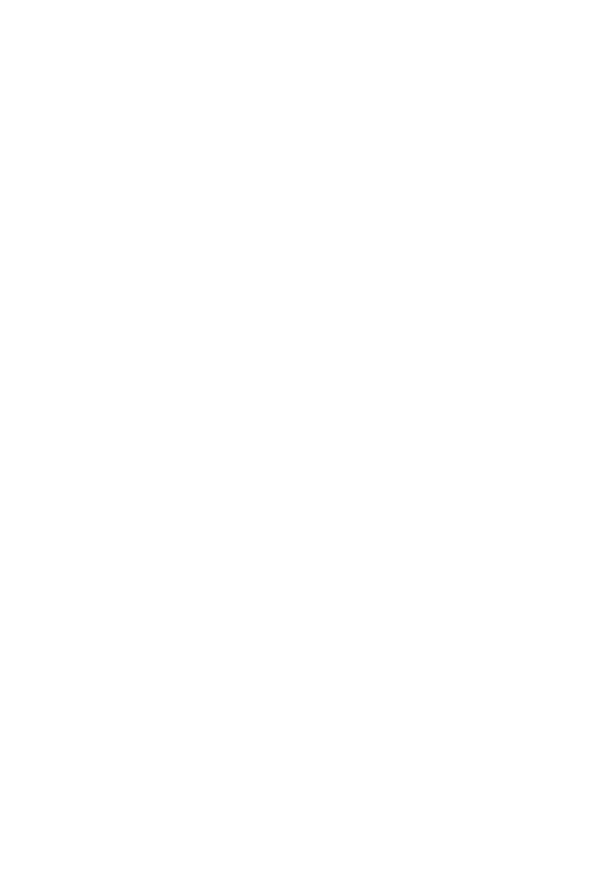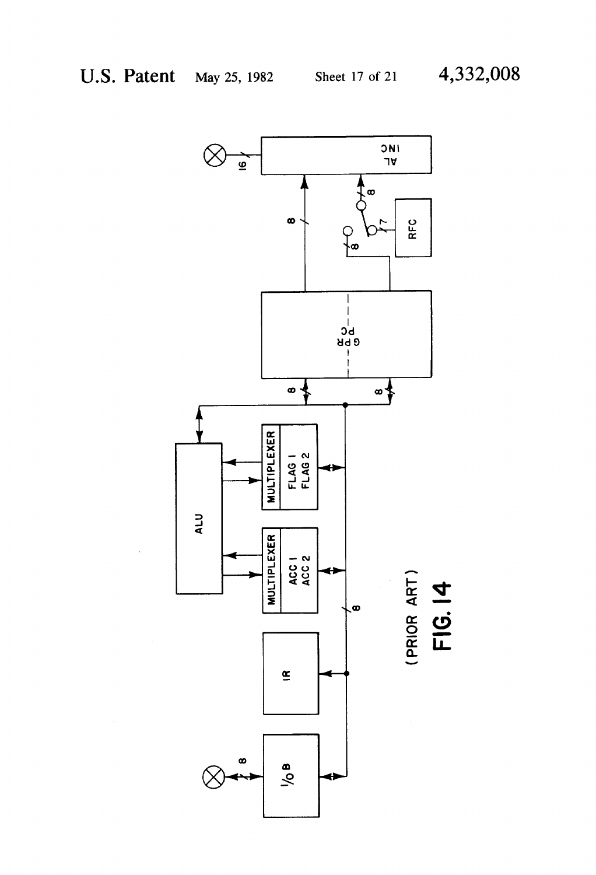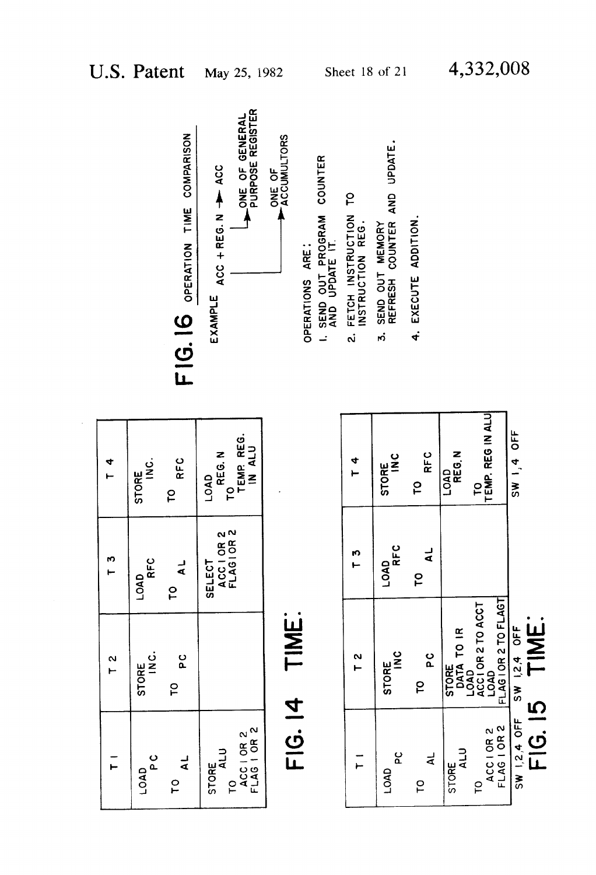|               |                        | $F[G.16$ operation time comparis | PURPOSE RE<br>ACC + REG. N +<br><b>EXAMPLE</b><br>TEMP REG.<br>IN ALU | ONE OF<br><b>ACCUMULTO</b><br>COUNTER<br>I. SEND OUT PROGRAM<br>AND UPDATE IT.<br>OPERATIONS ARE: | 2. FETCH INSTRUCTION TO<br>INSTRUCTION REG. | REFRESH COUNTER AND UPDATE<br>3. SEND OUT MEMORY<br>SIN <sub>1</sub> |
|---------------|------------------------|----------------------------------|-----------------------------------------------------------------------|---------------------------------------------------------------------------------------------------|---------------------------------------------|----------------------------------------------------------------------|
| $\frac{1}{4}$ | $\frac{1}{2}$<br>STORE | RFC<br>ဥ                         | REG.N<br>LOAD<br>p                                                    |                                                                                                   | $\frac{1}{4}$                               | STORE                                                                |
| r<br>T        | RFC<br>C<br>LOAD       | ر<br>4<br>င်<br>၁                | ACC I OR 2<br>FLAGI OR 2<br>SELECT                                    |                                                                                                   | m<br>H                                      | $\frac{1}{2}$<br>LOAD                                                |
| $\frac{2}{1}$ | ن<br>M<br>M<br>STORE   | $\frac{1}{2}$<br>P               |                                                                       | FIG. 14 TIME:                                                                                     | r<br>T                                      | STORE                                                                |
|               | ں<br>م<br>LOAD         | $\overline{4}$<br>$\frac{1}{2}$  | ACCIOR 2<br>FLAGIOR 2<br>STORE<br>STORE<br>ALU<br>ი<br>ჯ              |                                                                                                   |                                             | LOAD                                                                 |

| $\overline{1}$         | N<br>H                                 | 어<br>구            | r<br>4                |
|------------------------|----------------------------------------|-------------------|-----------------------|
| ă<br>LOAD              | STORE<br>INC                           | RFC<br><b>QAD</b> | STORE<br>INC          |
| $\frac{1}{4}$<br>P     | ပ္ပ္<br>၀<br>p                         | ر<br>ح<br>P       | RFC<br>ဥ              |
| $\frac{1}{4}$<br>STORE | DATA TO IR<br>STORE                    |                   | REG.N<br>LOAD         |
| P                      | ACCI OR 2 TO ACCT<br>040<br><b>QAD</b> |                   | TEMP. REG IN ALL<br>P |
| ACCIOR 2<br>FLAGIOR 2  | FLAGIOR 2 TO FLAGT                     |                   |                       |
| SW $1,2,4$ OFF         | SW $1,2,4$ OFF                         |                   | SW $1,4$ OFF          |
| FIG. 15                | <b>TIME:</b>                           |                   |                       |



**U.S. Patent** May 25, 1982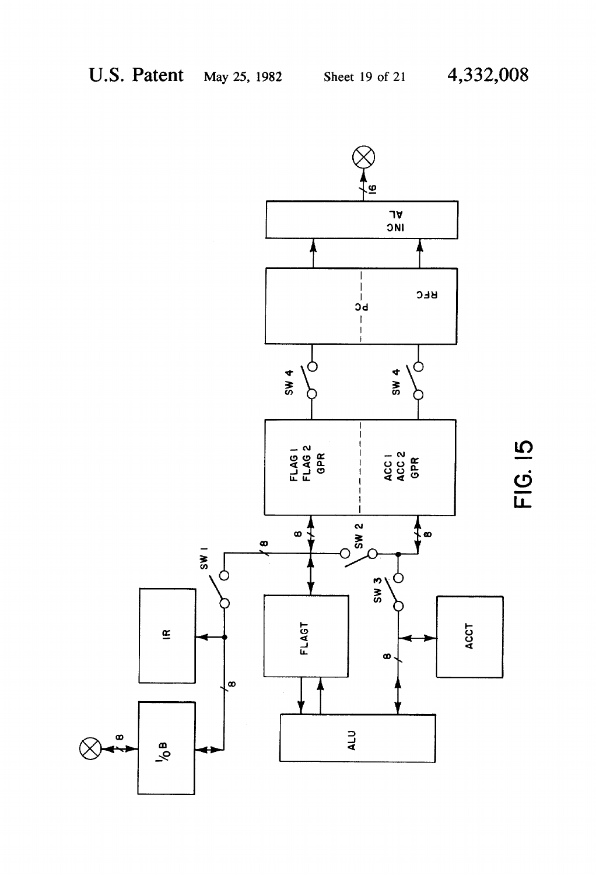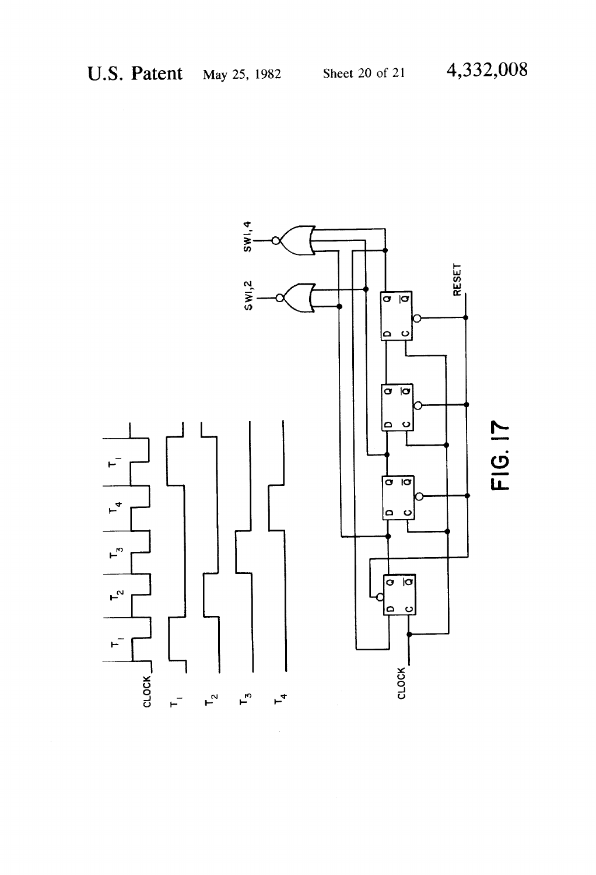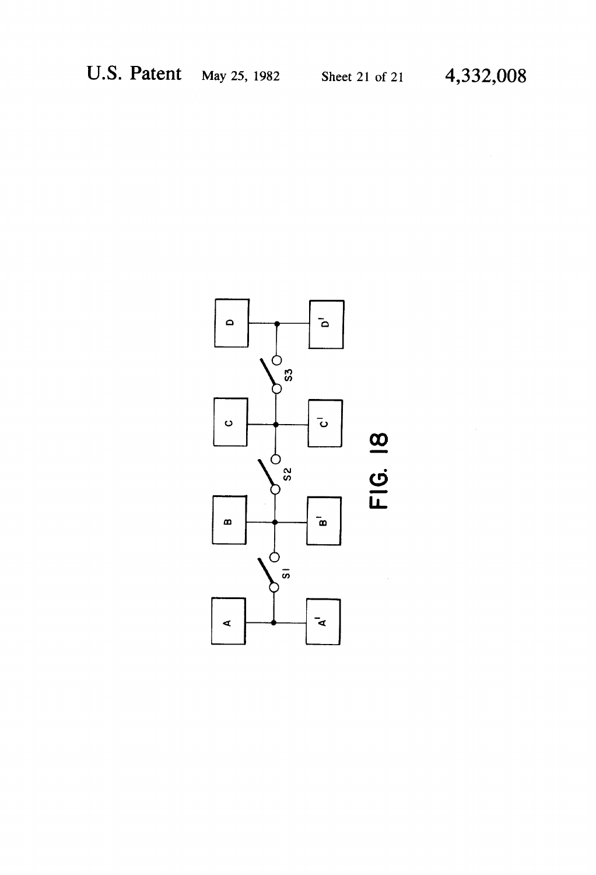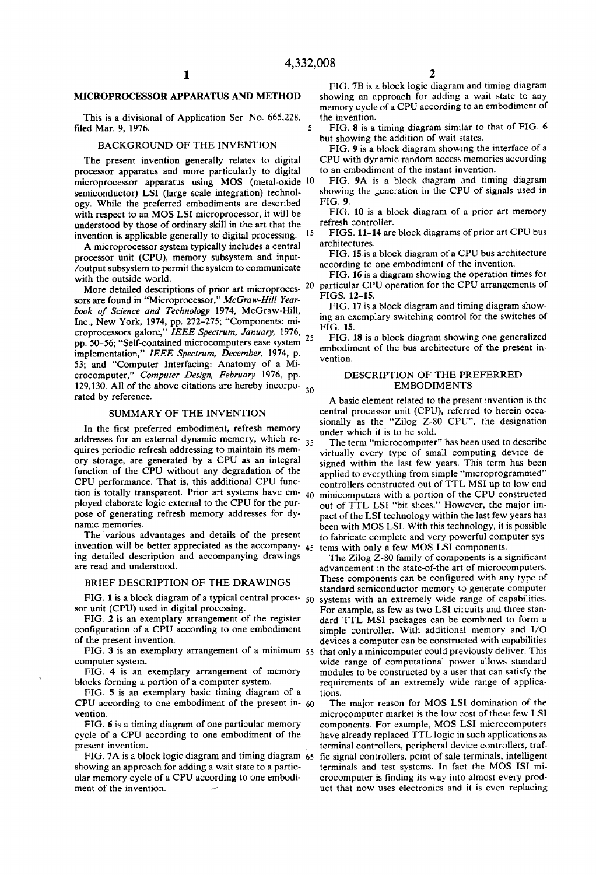×

#### MICROPROCESSOR APPARATUS AND METHOD

This is a divisional of Application Ser. No. 665,228, filed Mar. 9, 1976.

#### **BACKGROUND OF THE INVENTION**

The present invention generally relates to digital processor apparatus and more particularly to digital microprocessor apparatus using MOS (metal-oxide 10 semiconductor) LSI (large scale integration) technology. While the preferred embodiments are described with respect to an MOS LSI microprocessor, it will be understood by those of ordinary skill in the art that the invention is applicable generally to digital processing.

A microprocessor system typically includes a central processor unit (CPU), memory subsystem and input-/output subsystem to permit the system to communicate with the outside world.

More detailed descriptions of prior art microproces- 20 sors are found in "Microprocessor," McGraw-Hill Yearbook of Science and Technology 1974, McGraw-Hill, Inc., New York, 1974, pp. 272-275; "Components: microprocessors galore," IEEE Spectrum, January, 1976, pp. 50–56; "Self-contained microcomputers ease system 25 implementation," IEEE Spectrum, December, 1974, p. 53; and "Computer Interfacing: Anatomy of a Microcomputer," Computer Design, February 1976, pp. 129,130. All of the above citations are hereby incorpo- $_{30}$ rated by reference.

#### SUMMARY OF THE INVENTION

In the first preferred embodiment, refresh memory addresses for an external dynamic memory, which re-35 quires periodic refresh addressing to maintain its memory storage, are generated by a CPU as an integral function of the CPU without any degradation of the CPU performance. That is, this additional CPU function is totally transparent. Prior art systems have em- 40 ployed elaborate logic external to the CPU for the purpose of generating refresh memory addresses for dynamic memories.

The various advantages and details of the present invention will be better appreciated as the accompany- 45 ing detailed description and accompanying drawings are read and understood.

## BRIEF DESCRIPTION OF THE DRAWINGS

FIG. 1 is a block diagram of a typical central proces-  $50$ sor unit (CPU) used in digital processing.

FIG. 2 is an exemplary arrangement of the register configuration of a CPU according to one embodiment of the present invention.

FIG. 3 is an exemplary arrangement of a minimum 55 computer system.

FIG. 4 is an exemplary arrangement of memory blocks forming a portion of a computer system.

FIG. 5 is an exemplary basic timing diagram of a CPU according to one embodiment of the present in- $60$ vention.

FIG. 6 is a timing diagram of one particular memory cycle of a CPU according to one embodiment of the present invention.

FIG. 7A is a block logic diagram and timing diagram 65 showing an approach for adding a wait state to a particular memory cycle of a CPU according to one embodiment of the invention.

FIG. 7B is a block logic diagram and timing diagram showing an approach for adding a wait state to any memory cycle of a CPU according to an embodiment of the invention.

FIG. 8 is a timing diagram similar to that of FIG. 6 but showing the addition of wait states.

FIG. 9 is a block diagram showing the interface of a CPU with dynamic random access memories according to an embodiment of the instant invention.

FIG. 9A is a block diagram and timing diagram showing the generation in the CPU of signals used in FIG. 9.

FIG. 10 is a block diagram of a prior art memory refresh controller.

- FIGS. 11-14 are block diagrams of prior art CPU bus 15 architectures.
	- FIG. 15 is a block diagram of a CPU bus architecture according to one embodiment of the invention.

FIG. 16 is a diagram showing the operation times for particular CPU operation for the CPU arrangements of FIGS 12-15

FIG. 17 is a block diagram and timing diagram showing an exemplary switching control for the switches of FIG. 15.

FIG. 18 is a block diagram showing one generalized embodiment of the bus architecture of the present invention.

#### DESCRIPTION OF THE PREFERRED **EMBODIMENTS**

A basic element related to the present invention is the central processor unit (CPU), referred to herein occasionally as the "Zilog Z-80 CPU", the designation under which it is to be sold.

The term "microcomputer" has been used to describe virtually every type of small computing device designed within the last few years. This term has been applied to everything from simple "microprogrammed" controllers constructed out of TTL MSI up to low end minicomputers with a portion of the CPU constructed out of TTL LSI "bit slices." However, the major impact of the LSI technology within the last few years has been with MOS LSI. With this technology, it is possible to fabricate complete and very powerful computer systems with only a few MOS LSI components.

The Zilog Z-80 family of components is a significant advancement in the state-of-the art of microcomputers. These components can be configured with any type of standard semiconductor memory to generate computer systems with an extremely wide range of capabilities. For example, as few as two LSI circuits and three standard TTL MSI packages can be combined to form a simple controller. With additional memory and I/O devices a computer can be constructed with capabilities that only a minicomputer could previously deliver. This wide range of computational power allows standard modules to be constructed by a user that can satisfy the requirements of an extremely wide range of applications.

The major reason for MOS LSI domination of the microcomputer market is the low cost of these few LSI components. For example, MOS LSI microcomputers have already replaced TTL logic in such applications as terminal controllers, peripheral device controllers, traffic signal controllers, point of sale terminals, intelligent terminals and test systems. In fact the MOS ISI microcomputer is finding its way into almost every product that now uses electronics and it is even replacing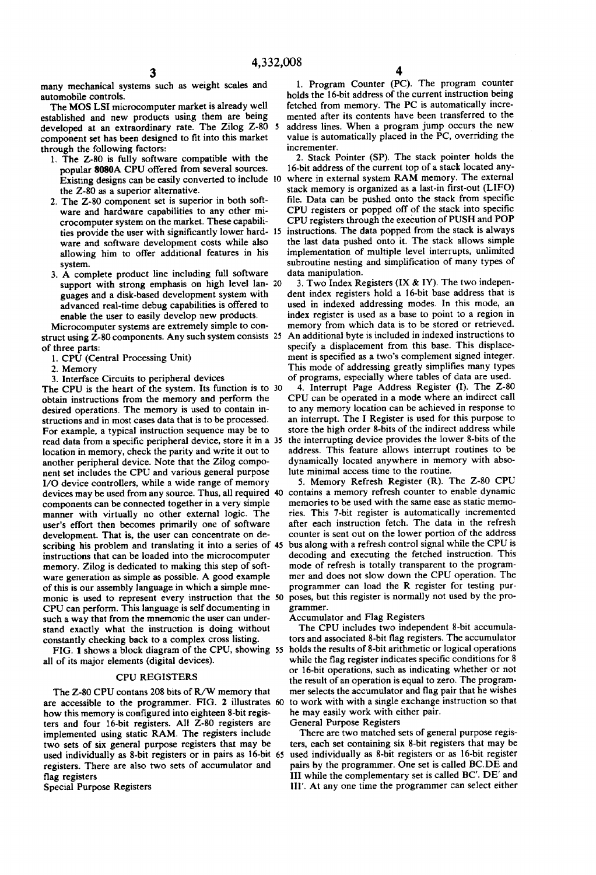many mechanical systems such as weight scales and automobile controls.

The MOS LSI microcomputer market is already well established and new products using them are being<br>developed at an extraordinary rate. The Zilog Z-80 5 component set has been designed to fit into this market through the following factors:

- 1. The Z-80 is fully software compatible with the popular 8080A CPU offered from several sources. Existing designs can be easily converted to include 10 the Z-80 as a superior alternative.
- 2. The Z-80 component set is superior in both software and hardware capabilities to any other microcomputer system on the market. These capabilities provide the user with significantly lower hard- 15 ware and software development costs while also allowing him to offer additional features in his system.
- 3. A complete product line including full software support with strong emphasis on high level lan- 20 guages and a disk-based development system with advanced real-time debug capabilities is offered to enable the user to easily develop new products.

Microcomputer systems are extremely simple to construct using Z-80 components. Any such system consists 25 of three parts:

- 1. CPU (Central Processing Unit)
- 2. Memory
- 3. Interface Circuits to peripheral devices

The CPU is the heart of the system. Its function is to 30 obtain instructions from the memory and perform the desired operations. The memory is used to contain instructions and in most cases data that is to be processed. For example, a typical instruction sequence may be to read data from a specific peripheral device, store it in a 35 location in memory, check the parity and write it out to another peripheral device. Note that the Zilog component set includes the CPU and various general purpose I/O device controllers, while a wide range of memory devices may be used from any source. Thus, all required 40 contains a memory refresh counter to enable dynamic components can be connected together in a very simple manner with virtually no other external logic. The user's effort then becomes primarily one of software development. That is, the user can concentrate on describing his problem and translating it into a series of 45 instructions that can be loaded into the microcomputer memory. Zilog is dedicated to making this step of software generation as simple as possible. A good example of this is our assembly language in which a simple mnemonic is used to represent every instruction that the 50 CPU can perform. This language is self documenting in such a way that from the mnemonic the user can understand exactly what the instruction is doing without constantly checking back to a complex cross listing.

all of its major elements (digital devices).

#### CPU REGISTERS

The Z-80 CPU contans 208 bits of R/W memory that are accessible to the programmer. FIG. 2 illustrates 60 how this memory is configured into eighteen 8-bit registers and four 16-bit registers. All Z-80 registers are implemented using static RAM. The registers include two sets of six general purpose registers that may be used individually as 8-bit registers or in pairs as 16-bit 65 used individually as 8-bit registers or as 16-bit register registers. There are also two sets of accumulator and flag registers

Special Purpose Registers

1. Program Counter (PC). The program counter holds the 16-bit address of the current instruction being fetched from memory. The PC is automatically incremented after its contents have been transferred to the address lines. When a program jump occurs the new value is automatically placed in the PC, overriding the incrementer.

2. Stack Pointer (SP). The stack pointer holds the 16-bit address of the current top of a stack located anywhere in external system RAM memory. The external stack memory is organized as a last-in first-out (LIFO) file. Data can be pushed onto the stack from specific CPU registers or popped off of the stack into specific CPU registers through the execution of PUSH and POP instructions. The data popped from the stack is always the last data pushed onto it. The stack allows simple implementation of multiple level interrupts, unlimited subroutine nesting and simplification of many types of data manipulation.

3. Two Index Registers  $(IX & IY)$ . The two independent index registers hold a 16-bit base address that is used in indexed addressing modes. In this mode, an index register is used as a base to point to a region in memory from which data is to be stored or retrieved. An additional byte is included in indexed instructions to specify a displacement from this base. This displacement is specified as a two's complement signed integer. This mode of addressing greatly simplifies many types of programs, especially where tables of data are used.

4. Interrupt Page Address Register (I). The Z-80 CPU can be operated in a mode where an indirect call to any memory location can be achieved in response to an interrupt. The I Register is used for this purpose to store the high order 8-bits of the indirect address while the interrupting device provides the lower 8-bits of the address. This feature allows interrupt routines to be dynamically located anywhere in memory with absolute minimal access time to the routine.

5. Memory Refresh Register (R). The Z-80 CPU memories to be used with the same ease as static memories. This 7-bit register is automatically incremented after each instruction fetch. The data in the refresh counter is sent out on the lower portion of the address bus along with a refresh control signal while the CPU is decoding and executing the fetched instruction. This mode of refresh is totally transparent to the programmer and does not slow down the CPU operation. The programmer can load the R register for testing purposes, but this register is normally not used by the programmer.

#### Accumulator and Flag Registers

The CPU includes two independent 8-bit accumulators and associated 8-bit flag registers. The accumulator FIG. 1 shows a block diagram of the CPU, showing 55 holds the results of 8-bit arithmetic or logical operations while the flag register indicates specific conditions for 8 or 16-bit operations, such as indicating whether or not the result of an operation is equal to zero. The programmer selects the accumulator and flag pair that he wishes to work with with a single exchange instruction so that he may easily work with either pair.

**General Purpose Registers** 

There are two matched sets of general purpose registers, each set containing six 8-bit registers that may be pairs by the programmer. One set is called BC.DE and III while the complementary set is called BC'. DE' and III'. At any one time the programmer can select either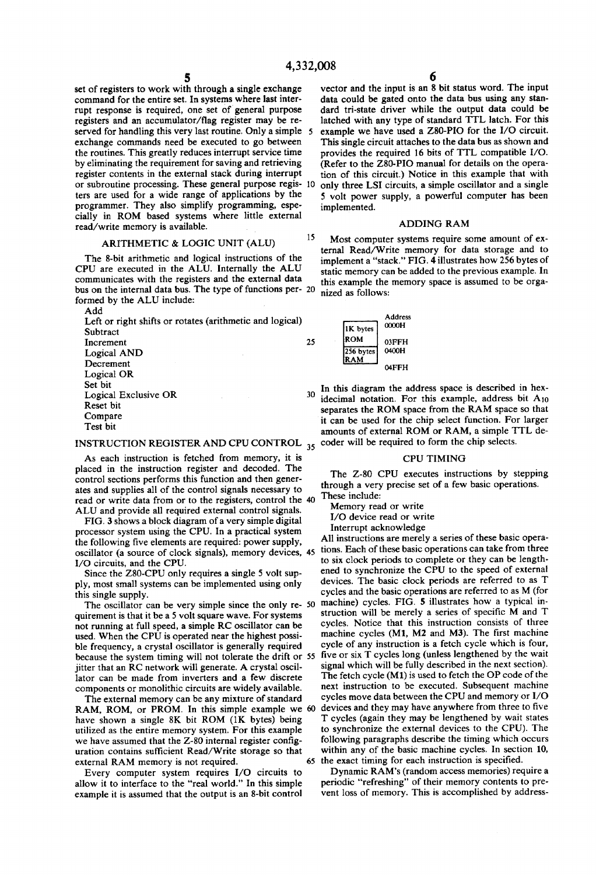25

set of registers to work with through a single exchange command for the entire set. In systems where last interrupt response is required, one set of general purpose registers and an accumulator/flag register may be reserved for handling this very last routine. Only a simple 5 exchange commands need be executed to go between the routines. This greatly reduces interrupt service time by eliminating the requirement for saving and retrieving register contents in the external stack during interrupt or subroutine processing. These general purpose regis- 10 ters are used for a wide range of applications by the programmer. They also simplify programming, especially in ROM based systems where little external read/write memory is available.

#### ARITHMETIC & LOGIC UNIT (ALU)

The 8-bit arithmetic and logical instructions of the CPU are executed in the ALU. Internally the ALU communicates with the registers and the external data bus on the internal data bus. The type of functions per- 20 formed by the ALU include:

**Add** Left or right shifts or rotates (arithmetic and logical) Subtract Increment Logical AND Decrement Logical OR Set bit Logical Exclusive OR Reset bit Compare Test bit

## INSTRUCTION REGISTER AND CPU CONTROL 35

As each instruction is fetched from memory, it is placed in the instruction register and decoded. The control sections performs this function and then generates and supplies all of the control signals necessary to read or write data from or to the registers, control the 40 ALU and provide all required external control signals.

FIG. 3 shows a block diagram of a very simple digital processor system using the CPU. In a practical system the following five elements are required: power supply, oscillator (a source of clock signals), memory devices, 45 I/O circuits, and the CPU.

Since the Z80-CPU only requires a single 5 volt supply, most small systems can be implemented using only this single supply.

The oscillator can be very simple since the only re- 50 quirement is that it be a 5 volt square wave. For systems not running at full speed, a simple RC oscillator can be used. When the CPU is operated near the highest possible frequency, a crystal oscillator is generally required because the system timing will not tolerate the drift or 55 jitter that an RC network will generate. A crystal oscillator can be made from inverters and a few discrete components or monolithic circuits are widely available.

The external memory can be any mixture of standard RAM, ROM, or PROM. In this simple example we 60 have shown a single 8K bit ROM (1K bytes) being utilized as the entire memory system. For this example we have assumed that the Z-80 internal register configuration contains sufficient Read/Write storage so that external RAM memory is not required.

Every computer system requires I/O circuits to allow it to interface to the "real world." In this simple example it is assumed that the output is an 8-bit control

vector and the input is an 8 bit status word. The input data could be gated onto the data bus using any standard tri-state driver while the output data could be latched with any type of standard TTL latch. For this example we have used a Z80-PIO for the I/O circuit. This single circuit attaches to the data bus as shown and provides the required 16 bits of TTL compatible I/O. (Refer to the Z80-PIO manual for details on the operation of this circuit.) Notice in this example that with only three LSI circuits, a simple oscillator and a single 5 volt power supply, a powerful computer has been implemented.

#### **ADDING RAM**

15 Most computer systems require some amount of external Read/Write memory for data storage and to implement a "stack." FIG. 4 illustrates how 256 bytes of static memory can be added to the previous example. In this example the memory space is assumed to be organized as follows:

|             | Address |
|-------------|---------|
| IK bytes    | റററല    |
| ROM         | 03FFH   |
| 256 bytes   | 0400H   |
| <b>IRAM</b> |         |
|             | 04FFH   |

In this diagram the address space is described in hex-30 idecimal notation. For this example, address bit A10 separates the ROM space from the RAM space so that it can be used for the chip select function. For larger amounts of external ROM or RAM, a simple TTL decoder will be required to form the chip selects.

#### **CPU TIMING**

The Z-80 CPU executes instructions by stepping through a very precise set of a few basic operations. These include:

Memory read or write

I/O device read or write

Interrupt acknowledge

All instructions are merely a series of these basic operations. Each of these basic operations can take from three to six clock periods to complete or they can be lengthened to synchronize the CPU to the speed of external devices. The basic clock periods are referred to as T cycles and the basic operations are referred to as M (for machine) cycles. FIG. 5 illustrates how a typical instruction will be merely a series of specific M and T cycles. Notice that this instruction consists of three machine cycles (M1, M2 and M3). The first machine cycle of any instruction is a fetch cycle which is four, five or six T cycles long (unless lengthened by the wait signal which will be fully described in the next section). The fetch cycle (M1) is used to fetch the OP code of the next instruction to be executed. Subsequent machine cycles move data between the CPU and memory or I/O devices and they may have anywhere from three to five T cycles (again they may be lengthened by wait states to synchronize the external devices to the CPU). The following paragraphs describe the timing which occurs within any of the basic machine cycles. In section 10, 65 the exact timing for each instruction is specified.

Dynamic RAM's (random access memories) require a periodic "refreshing" of their memory contents to prevent loss of memory. This is accomplished by address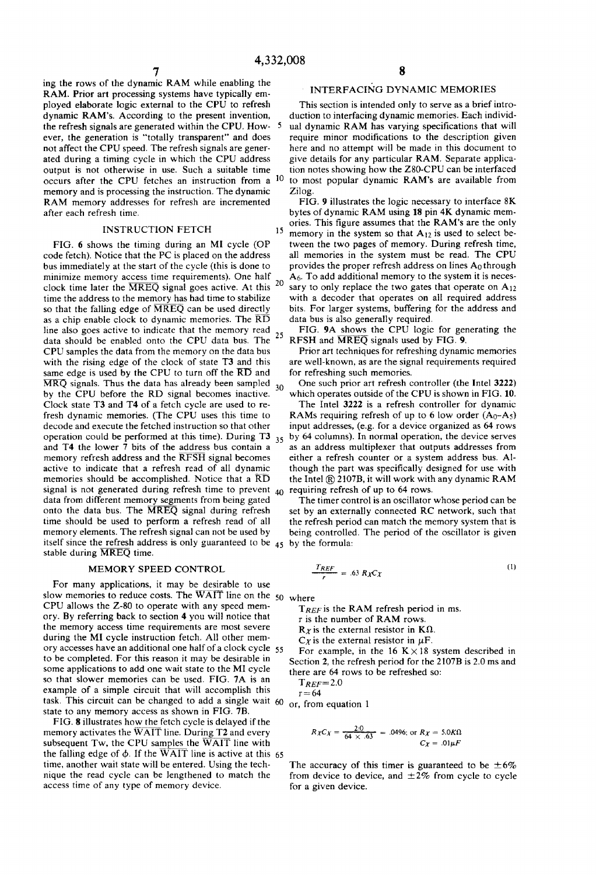15

ing the rows of the dynamic RAM while enabling the RAM. Prior art processing systems have typically employed elaborate logic external to the CPU to refresh dynamic RAM's. According to the present invention, the refresh signals are generated within the CPU. How-5 ever, the generation is "totally transparent" and does not affect the CPU speed. The refresh signals are generated during a timing cycle in which the CPU address output is not otherwise in use. Such a suitable time occurs after the CPU fetches an instruction from a 10 memory and is processing the instruction. The dynamic RAM memory addresses for refresh are incremented after each refresh time.

#### **INSTRUCTION FETCH**

FIG. 6 shows the timing during an MI cycle (OP code fetch). Notice that the PC is placed on the address bus immediately at the start of the cycle (this is done to minimize memory access time requirements). One half clock time later the MREQ signal goes active. At this time the address to the memory has had time to stabilize so that the falling edge of  $\overline{\text{MREQ}}$  can be used directly as a chip enable clock to dynamic memories. The RD line also goes active to indicate that the memory read 25 data should be enabled onto the CPU data bus. The CPU samples the data from the memory on the data bus with the rising edge of the clock of state T3 and this same edge is used by the CPU to turn off the RD and  $\overline{\text{MRQ}}$  signals. Thus the data has already been sampled  $30$ by the CPU before the RD signal becomes inactive. Clock state T3 and T4 of a fetch cycle are used to refresh dynamic memories. (The CPU uses this time to decode and execute the fetched instruction so that other operation could be performed at this time). During T3  $_{35}$ and T4 the lower 7 bits of the address bus contain a memory refresh address and the RFSH signal becomes active to indicate that a refresh read of all dynamic memories should be accomplished. Notice that a RD signal is not generated during refresh time to prevent  $_{40}$ data from different memory segments from being gated onto the data bus. The MREQ signal during refresh time should be used to perform a refresh read of all memory elements. The refresh signal can not be used by itself since the refresh address is only guaranteed to be  $\overline{45}$ stable during MREQ time.

#### MEMORY SPEED CONTROL

For many applications, it may be desirable to use slow memories to reduce costs. The WAIT line on the 50 where CPU allows the Z-80 to operate with any speed memory. By referring back to section 4 you will notice that the memory access time requirements are most severe during the MI cycle instruction fetch. All other memory accesses have an additional one half of a clock cycle 55 to be completed. For this reason it may be desirable in some applications to add one wait state to the MI cycle so that slower memories can be used. FIG. 7A is an example of a simple circuit that will accomplish this task. This circuit can be changed to add a single wait 60 state to any memory access as shown in FIG. 7B.

FIG. 8 illustrates how the fetch cycle is delayed if the memory activates the WAIT line. During T2 and every subsequent Tw, the CPU samples the WAIT line with the falling edge of  $\phi$ . If the WAIT line is active at this 65 time, another wait state will be entered. Using the technique the read cycle can be lengthened to match the access time of any type of memory device.

#### INTERFACING DYNAMIC MEMORIES

This section is intended only to serve as a brief introduction to interfacing dynamic memories. Each individual dynamic RAM has varying specifications that will require minor modifications to the description given here and no attempt will be made in this document to give details for any particular RAM. Separate application notes showing how the Z80-CPU can be interfaced to most popular dynamic RAM's are available from Zilog

FIG. 9 illustrates the logic necessary to interface 8K bytes of dynamic RAM using 18 pin 4K dynamic memories. This figure assumes that the RAM's are the only memory in the system so that  $A_{12}$  is used to select between the two pages of memory. During refresh time, all memories in the system must be read. The CPU provides the proper refresh address on lines A<sub>0</sub> through  $A<sub>6</sub>$ . To add additional memory to the system it is necessary to only replace the two gates that operate on A<sub>12</sub> with a decoder that operates on all required address bits. For larger systems, buffering for the address and data bus is also generally required.

FIG. 9A shows the CPU logic for generating the RFSH and MREQ signals used by FIG. 9.

Prior art techniques for refreshing dynamic memories are well-known, as are the signal requirements required for refreshing such memories.

One such prior art refresh controller (the Intel 3222) which operates outside of the CPU is shown in FIG. 10.

The Intel 3222 is a refresh controller for dynamic RAMs requiring refresh of up to 6 low order  $(A_0-A_5)$ input addresses, (e.g. for a device organized as 64 rows by 64 columns). In normal operation, the device serves as an address multiplexer that outputs addresses from either a refresh counter or a system address bus. Although the part was specifically designed for use with the Intel ® 2107B, it will work with any dynamic RAM requiring refresh of up to 64 rows.

The timer control is an oscillator whose period can be set by an externally connected RC network, such that the refresh period can match the memory system that is being controlled. The period of the oscillator is given by the formula:

$$
\frac{T_{REF}}{t} = .63 R_X C_X \tag{1}
$$

 $T_{REF}$  is the RAM refresh period in ms.

r is the number of RAM rows.

 $\mathbb{R}_X$  is the external resistor in K $\Omega$ .

 $C_X$  is the external resistor in  $\mu$ F.

For example, in the 16 K $\times$ 18 system described in Section 2, the refresh period for the 2107B is 2.0 ms and there are 64 rows to be refreshed so:

$$
T_{REF}=2.0
$$

 $r = 64$ 

or, from equation 1

$$
R_X C_X = \frac{2.0}{64 \times .63} = .0496; \text{ or } R_X = 5.0 K \Omega
$$
  
C<sub>Y</sub> = .01 uF

The accuracy of this timer is guaranteed to be  $\pm 6\%$ from device to device, and  $\pm 2\%$  from cycle to cycle for a given device.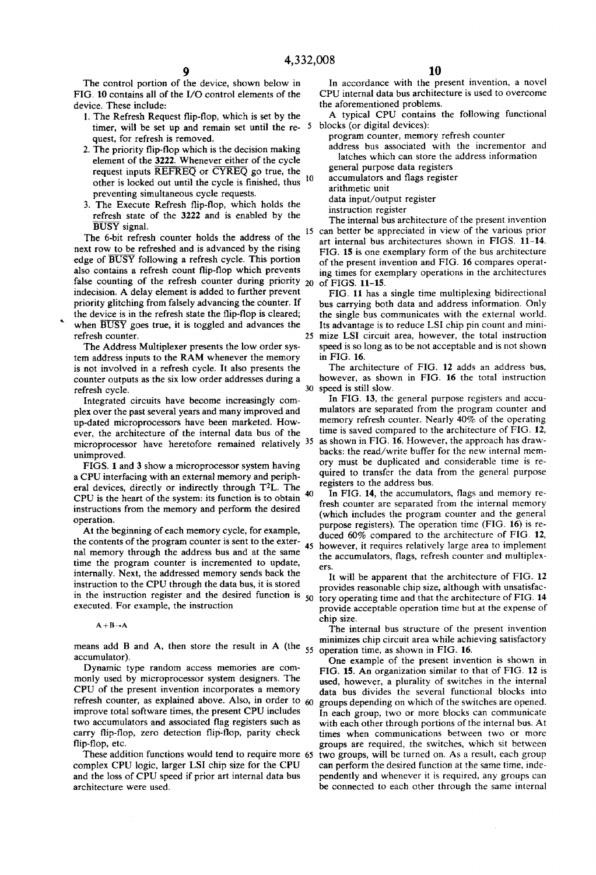The control portion of the device, shown below in FIG. 10 contains all of the I/O control elements of the device. These include:

- 1. The Refresh Request flip-flop, which is set by the timer, will be set up and remain set until the re-5 quest, for refresh is removed.
- 2. The priority flip-flop which is the decision making element of the 3222. Whenever either of the cycle request inputs REFREQ or CYREQ go true, the 10 other is locked out until the cycle is finished, thus preventing simultaneous cycle requests.
- 3. The Execute Refresh flip-flop, which holds the refresh state of the 3222 and is enabled by the **BUSY** signal.

The 6-bit refresh counter holds the address of the next row to be refreshed and is advanced by the rising edge of BUSY following a refresh cycle. This portion also contains a refresh count flip-flop which prevents false counting of the refresh counter during priority  $_{20}$ indecision. A delay element is added to further prevent priority glitching from falsely advancing the counter. If the device is in the refresh state the flip-flop is cleared; when BUSY goes true, it is toggled and advances the refresh counter.

The Address Multiplexer presents the low order system address inputs to the RAM whenever the memory is not involved in a refresh cycle. It also presents the counter outputs as the six low order addresses during a refresh cycle.

Integrated circuits have become increasingly complex over the past several years and many improved and up-dated microprocessors have been marketed. However, the architecture of the internal data bus of the microprocessor have heretofore remained relatively 35 unimproved.

FIGS. 1 and 3 show a microprocessor system having a CPU interfacing with an external memory and peripheral devices, directly or indirectly through T<sup>2</sup>L. The 40 CPU is the heart of the system: its function is to obtain instructions from the memory and perform the desired operation.

At the beginning of each memory cycle, for example, the contents of the program counter is sent to the exter-45 nal memory through the address bus and at the same time the program counter is incremented to update, internally. Next, the addressed memory sends back the instruction to the CPU through the data bus, it is stored in the instruction register and the desired function is  $50$ executed. For example, the instruction

 $A + B \rightarrow A$ 

means add B and A, then store the result in A (the  $_{55}$ accumulator).

Dynamic type random access memories are commonly used by microprocessor system designers. The CPU of the present invention incorporates a memory refresh counter, as explained above. Also, in order to  $60$ improve total software times, the present CPU includes two accumulators and associated flag registers such as carry flip-flop, zero detection flip-flop, parity check flip-flop, etc.

These addition functions would tend to require more 65 complex CPU logic, larger LSI chip size for the CPU and the loss of CPU speed if prior art internal data bus architecture were used.

In accordance with the present invention, a novel CPU internal data bus architecture is used to overcome the aforementioned problems.

A typical CPU contains the following functional blocks (or digital devices):

program counter, memory refresh counter

address bus associated with the incrementor and latches which can store the address information general purpose data registers

accumulators and flags register

arithmetic unit

data input/output register

instruction register

The internal bus architecture of the present invention can better be appreciated in view of the various prior 15 art internal bus architectures shown in FIGS. 11-14. FIG. 15 is one exemplary form of the bus architecture of the present invention and FIG. 16 compares operating times for exemplary operations in the architectures of FIGS. 11-15.

FIG. 11 has a single time multiplexing bidirectional bus carrying both data and address information. Only the single bus communicates with the external world. Its advantage is to reduce LSI chip pin count and mini-25 mize LSI circuit area, however, the total instruction speed is so long as to be not acceptable and is not shown in FIG. 16.

The architecture of FIG. 12 adds an address bus, however, as shown in FIG. 16 the total instruction 30 speed is still slow.

In FIG. 13, the general purpose registers and accumulators are separated from the program counter and memory refresh counter. Nearly 40% of the operating time is saved compared to the architecture of FIG. 12, as shown in FIG. 16. However, the approach has drawbacks: the read/write buffer for the new internal memory must be duplicated and considerable time is required to transfer the data from the general purpose registers to the address bus.

In FIG. 14, the accumulators, flags and memory refresh counter are separated from the internal memory (which includes the program counter and the general purpose registers). The operation time (FIG. 16) is reduced 60% compared to the architecture of FIG. 12. however, it requires relatively large area to implement the accumulators, flags, refresh counter and multiplexers.

It will be apparent that the architecture of FIG. 12 provides reasonable chip size, although with unsatisfactory operating time and that the architecture of FIG. 14 provide acceptable operation time but at the expense of chip size.

The internal bus structure of the present invention minimizes chip circuit area while achieving satisfactory operation time, as shown in FIG. 16.

One example of the present invention is shown in FIG. 15. An organization similar to that of FIG. 12 is used, however, a plurality of switches in the internal data bus divides the several functional blocks into groups depending on which of the switches are opened. In each group, two or more blocks can communicate with each other through portions of the internal bus. At times when communications between two or more groups are required, the switches, which sit between two groups, will be turned on. As a result, each group can perform the desired function at the same time, independently and whenever it is required, any groups can be connected to each other through the same internal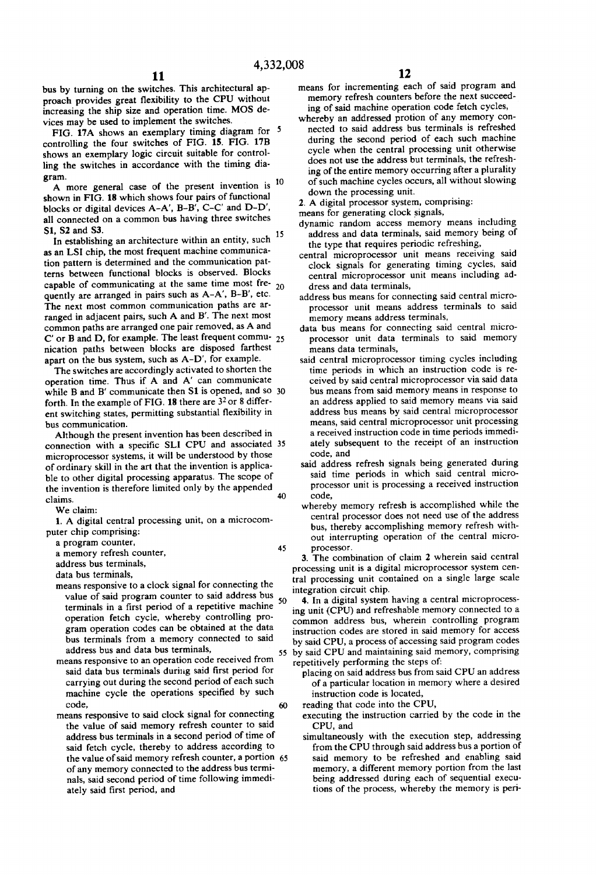bus by turning on the switches. This architectural approach provides great flexibility to the CPU without increasing the ship size and operation time. MOS devices may be used to implement the switches.

FIG. 17A shows an exemplary timing diagram for 5 controlling the four switches of FIG. 15. FIG. 17B shows an exemplary logic circuit suitable for controlling the switches in accordance with the timing diagram.

A more general case of the present invention is 10 shown in FIG. 18 which shows four pairs of functional blocks or digital devices A-A', B-B', C-C' and D-D', all connected on a common bus having three switches S1, S2 and S3.

In establishing an architecture within an entity, such 15 as an LSI chip, the most frequent machine communication pattern is determined and the communication patterns between functional blocks is observed. Blocks capable of communicating at the same time most fre- $_{20}$ quently are arranged in pairs such as A-A', B-B', etc. The next most common communication paths are arranged in adjacent pairs, such A and B'. The next most common paths are arranged one pair removed, as A and C' or B and D, for example. The least frequent commu- 25 nication paths between blocks are disposed farthest apart on the bus system, such as A-D', for example.

The switches are accordingly activated to shorten the operation time. Thus if A and A' can communicate while B and B' communicate then S1 is opened, and so 30 forth. In the example of FIG. 18 there are 3<sup>2</sup> or 8 different switching states, permitting substantial flexibility in bus communication.

Although the present invention has been described in connection with a specific SLI CPU and associated 35 microprocessor systems, it will be understood by those of ordinary skill in the art that the invention is applicable to other digital processing apparatus. The scope of the invention is therefore limited only by the appended 40 claims.

We claim:

1. A digital central processing unit, on a microcomputer chip comprising:

a program counter,

a memory refresh counter,

address bus terminals,

data bus terminals,

- means responsive to a clock signal for connecting the value of said program counter to said address bus 50 terminals in a first period of a repetitive machine operation fetch cycle, whereby controlling program operation codes can be obtained at the data bus terminals from a memory connected to said address bus and data bus terminals,
- means responsive to an operation code received from said data bus terminals during said first period for carrying out during the second period of each such machine cycle the operations specified by such code. 60
- means responsive to said clock signal for connecting the value of said memory refresh counter to said address bus terminals in a second period of time of said fetch cycle, thereby to address according to the value of said memory refresh counter, a portion 65 of any memory connected to the address bus terminals, said second period of time following immediately said first period, and
- means for incrementing each of said program and memory refresh counters before the next succeeding of said machine operation code fetch cycles,
- whereby an addressed protion of any memory connected to said address bus terminals is refreshed during the second period of each such machine cycle when the central processing unit otherwise does not use the address but terminals, the refreshing of the entire memory occurring after a plurality of such machine cycles occurs, all without slowing down the processing unit.

2. A digital processor system, comprising:

- means for generating clock signals,
- dynamic random access memory means including address and data terminals, said memory being of the type that requires periodic refreshing,
- central microprocessor unit means receiving said clock signals for generating timing cycles, said central microprocessor unit means including address and data terminals,
- address bus means for connecting said central microprocessor unit means address terminals to said memory means address terminals,
- data bus means for connecting said central microprocessor unit data terminals to said memory means data terminals,
- said central microprocessor timing cycles including time periods in which an instruction code is received by said central microprocessor via said data bus means from said memory means in response to an address applied to said memory means via said address bus means by said central microprocessor means, said central microprocessor unit processing a received instruction code in time periods immediately subsequent to the receipt of an instruction code, and
- said address refresh signals being generated during said time periods in which said central microprocessor unit is processing a received instruction code.
- whereby memory refresh is accomplished while the central processor does not need use of the address bus, thereby accomplishing memory refresh without interrupting operation of the central microprocessor.

3. The combination of claim 2 wherein said central processing unit is a digital microprocessor system central processing unit contained on a single large scale integration circuit chip.

4. In a digital system having a central microprocessing unit (CPU) and refreshable memory connected to a common address bus, wherein controlling program instruction codes are stored in said memory for access by said CPU, a process of accessing said program codes by said CPU and maintaining said memory, comprising repetitively performing the steps of:

placing on said address bus from said CPU an address of a particular location in memory where a desired instruction code is located,

reading that code into the CPU.

- executing the instruction carried by the code in the CPU, and
- simultaneously with the execution step, addressing from the CPU through said address bus a portion of said memory to be refreshed and enabling said memory, a different memory portion from the last being addressed during each of sequential executions of the process, whereby the memory is peri-

45